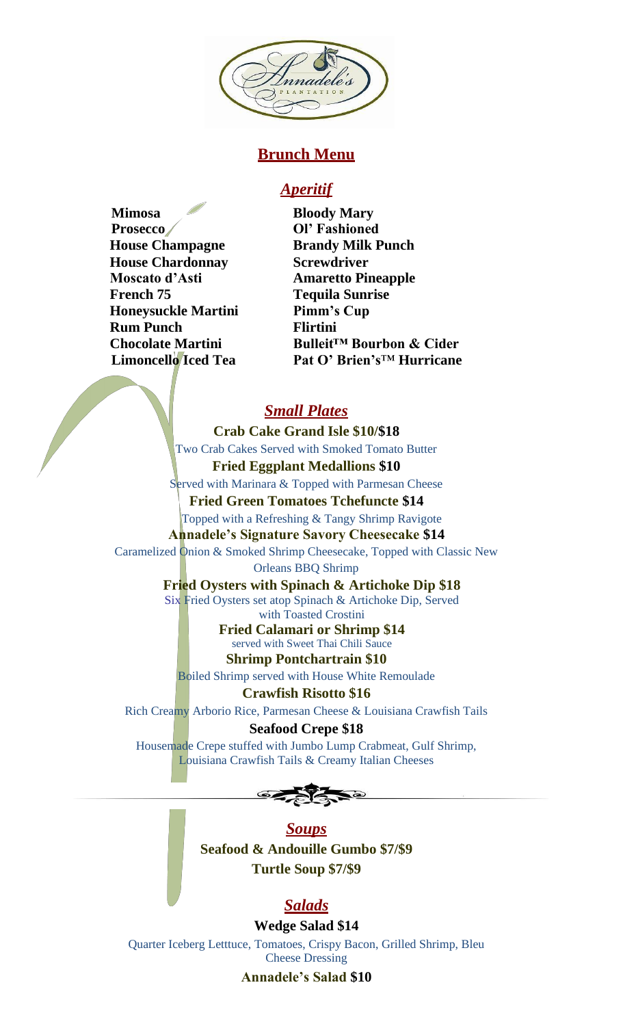

# **Brunch Menu**

# *Aperitif*

**Mimosa Bloody Mary Prosecco Ol' Fashioned House Champagne Brandy Milk Punch House Chardonnay Screwdriver Moscato d'Asti Amaretto Pineapple French 75 Tequila Sunrise Honeysuckle Martini Pimm's Cup Rum Punch Flirtini**

**Chocolate Martini Bulleit™ Bourbon & Cider Limoncello Iced Tea Pat O' Brien's**™ **Hurricane**

# *Small Plates*

**Crab Cake Grand Isle \$10/\$18** Two Crab Cakes Served with Smoked Tomato Butter **Fried Eggplant Medallions \$10**

Served with Marinara & Topped with Parmesan Cheese

**Fried Green Tomatoes Tchefuncte \$14** Topped with a Refreshing & Tangy Shrimp Ravigote **Annadele's Signature Savory Cheesecake \$14**

Caramelized Onion & Smoked Shrimp Cheesecake, Topped with Classic New Orleans BBQ Shrimp

> **Fried Oysters with Spinach & Artichoke Dip \$18** Six Fried Oysters set atop Spinach & Artichoke Dip, Served with Toasted Crostini

**Fried Calamari or Shrimp \$14** served with Sweet Thai Chili Sauce **Shrimp Pontchartrain \$10**

Boiled Shrimp served with House White Remoulade

**Crawfish Risotto \$16** Rich Creamy Arborio Rice, Parmesan Cheese & Louisiana Crawfish Tails

**Seafood Crepe \$18** Housemade Crepe stuffed with Jumbo Lump Crabmeat, Gulf Shrimp, Louisiana Crawfish Tails & Creamy Italian Cheeses



*Soups* **Seafood & Andouille Gumbo \$7/\$9 Turtle Soup \$7/\$9**

# *Salads*

**Wedge Salad \$14** Quarter Iceberg Letttuce, Tomatoes, Crispy Bacon, Grilled Shrimp, Bleu Cheese Dressing **Annadele's Salad \$10**